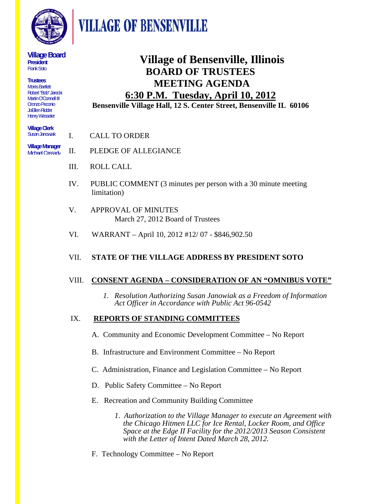

**VILLAGE OF BENSENVILLE** 

#### **Village Board President**  Frank Soto

**Trustees**  Morris Bartlett Robert "Bob" Jarecki Martin O'Connell III Oronzo Peconio JoEllen Ridder Henry Wesseler

**Village Clerk**  Susan Janowiak

**6:30 P.M. Tuesday, April 10, 2012 Bensenville Village Hall, 12 S. Center Street, Bensenville IL 60106**

I. CALL TO ORDER

 II. PLEDGE OF ALLEGIANCE **Village Manager**  Michael Cassady

- III. ROLL CALL
- IV. PUBLIC COMMENT (3 minutes per person with a 30 minute meeting limitation)
- V. APPROVAL OF MINUTES March 27, 2012 Board of Trustees
- VI. WARRANT April 10, 2012 #12/ 07 \$846,902.50

## VII. **STATE OF THE VILLAGE ADDRESS BY PRESIDENT SOTO**

## VIII. **CONSENT AGENDA – CONSIDERATION OF AN "OMNIBUS VOTE"**

 *1. Resolution Authorizing Susan Janowiak as a Freedom of Information Act Officer in Accordance with Public Act 96-0542* 

**Village of Bensenville, Illinois** 

 **BOARD OF TRUSTEES MEETING AGENDA** 

## IX. **REPORTS OF STANDING COMMITTEES**

- A. Community and Economic Development Committee No Report
- B. Infrastructure and Environment Committee No Report
- C. Administration, Finance and Legislation Committee No Report
- D. Public Safety Committee No Report
- E. Recreation and Community Building Committee
	- *1. Authorization to the Village Manager to execute an Agreement with the Chicago Hitmen LLC for Ice Rental, Locker Room, and Office Space at the Edge II Facility for the 2012/2013 Season Consistent with the Letter of Intent Dated March 28, 2012.*
- F. Technology Committee No Report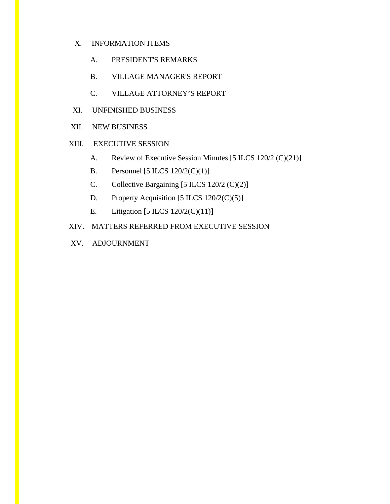- X. INFORMATION ITEMS
	- A. PRESIDENT'S REMARKS
	- B. VILLAGE MANAGER'S REPORT
	- C. VILLAGE ATTORNEY'S REPORT
- XI. UNFINISHED BUSINESS
- XII. NEW BUSINESS
- XIII. EXECUTIVE SESSION
	- A. Review of Executive Session Minutes [5 ILCS 120/2 (C)(21)]
	- B. Personnel [5 ILCS  $120/2(C)(1)$ ]
	- C. Collective Bargaining [5 ILCS 120/2 (C)(2)]
	- D. Property Acquisition [5 ILCS 120/2(C)(5)]
	- E. Litigation [5 ILCS 120/2(C)(11)]
- XIV. MATTERS REFERRED FROM EXECUTIVE SESSION
- XV. ADJOURNMENT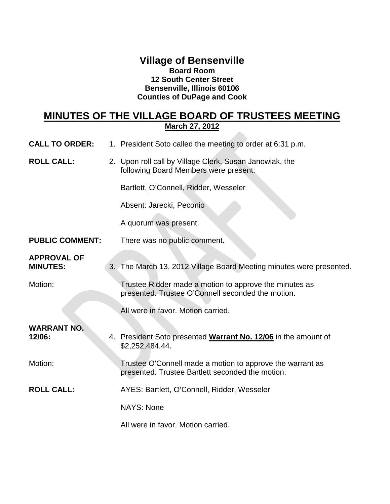## **Village of Bensenville Board Room 12 South Center Street Bensenville, Illinois 60106 Counties of DuPage and Cook**

### **MINUTES OF THE VILLAGE BOARD OF TRUSTEES MEETING March 27, 2012**  $\sim$

| <b>CALL TO ORDER:</b>                 |  | 1. President Soto called the meeting to order at 6:31 p.m.                                                    |
|---------------------------------------|--|---------------------------------------------------------------------------------------------------------------|
| <b>ROLL CALL:</b>                     |  | 2. Upon roll call by Village Clerk, Susan Janowiak, the<br>following Board Members were present:              |
|                                       |  | Bartlett, O'Connell, Ridder, Wesseler                                                                         |
|                                       |  | Absent: Jarecki, Peconio                                                                                      |
|                                       |  | A quorum was present.                                                                                         |
| <b>PUBLIC COMMENT:</b>                |  | There was no public comment.                                                                                  |
| <b>APPROVAL OF</b><br><b>MINUTES:</b> |  | 3. The March 13, 2012 Village Board Meeting minutes were presented.                                           |
| Motion:                               |  | Trustee Ridder made a motion to approve the minutes as<br>presented. Trustee O'Connell seconded the motion.   |
|                                       |  | All were in favor. Motion carried.                                                                            |
| <b>WARRANT NO.</b><br>12/06:          |  | 4. President Soto presented Warrant No. 12/06 in the amount of<br>\$2,252,484.44.                             |
| Motion:                               |  | Trustee O'Connell made a motion to approve the warrant as<br>presented. Trustee Bartlett seconded the motion. |
| <b>ROLL CALL:</b>                     |  | AYES: Bartlett, O'Connell, Ridder, Wesseler                                                                   |
|                                       |  | <b>NAYS: None</b>                                                                                             |
|                                       |  | All were in favor. Motion carried.                                                                            |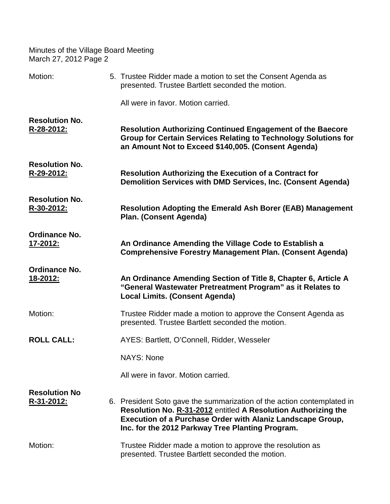| Motion:                                 | 5. Trustee Ridder made a motion to set the Consent Agenda as<br>presented. Trustee Bartlett seconded the motion.                                                                                                                                           |
|-----------------------------------------|------------------------------------------------------------------------------------------------------------------------------------------------------------------------------------------------------------------------------------------------------------|
|                                         | All were in favor. Motion carried.                                                                                                                                                                                                                         |
| <b>Resolution No.</b><br>R-28-2012:     | Resolution Authorizing Continued Engagement of the Baecore<br><b>Group for Certain Services Relating to Technology Solutions for</b><br>an Amount Not to Exceed \$140,005. (Consent Agenda)                                                                |
| <b>Resolution No.</b><br>R-29-2012:     | <b>Resolution Authorizing the Execution of a Contract for</b><br>Demolition Services with DMD Services, Inc. (Consent Agenda)                                                                                                                              |
| <b>Resolution No.</b><br>R-30-2012:     | <b>Resolution Adopting the Emerald Ash Borer (EAB) Management</b><br>Plan. (Consent Agenda)                                                                                                                                                                |
| <b>Ordinance No.</b><br>17-2012:        | An Ordinance Amending the Village Code to Establish a<br><b>Comprehensive Forestry Management Plan. (Consent Agenda)</b>                                                                                                                                   |
| <b>Ordinance No.</b><br><u>18-2012:</u> | An Ordinance Amending Section of Title 8, Chapter 6, Article A<br>"General Wastewater Pretreatment Program" as it Relates to<br><b>Local Limits. (Consent Agenda)</b>                                                                                      |
| Motion:                                 | Trustee Ridder made a motion to approve the Consent Agenda as<br>presented. Trustee Bartlett seconded the motion.                                                                                                                                          |
| <b>ROLL CALL:</b>                       | AYES: Bartlett, O'Connell, Ridder, Wesseler                                                                                                                                                                                                                |
|                                         | <b>NAYS: None</b>                                                                                                                                                                                                                                          |
|                                         | All were in favor. Motion carried.                                                                                                                                                                                                                         |
| <b>Resolution No</b><br>R-31-2012:      | 6. President Soto gave the summarization of the action contemplated in<br>Resolution No. R-31-2012 entitled A Resolution Authorizing the<br>Execution of a Purchase Order with Alaniz Landscape Group,<br>Inc. for the 2012 Parkway Tree Planting Program. |
| Motion:                                 | Trustee Ridder made a motion to approve the resolution as<br>presented. Trustee Bartlett seconded the motion.                                                                                                                                              |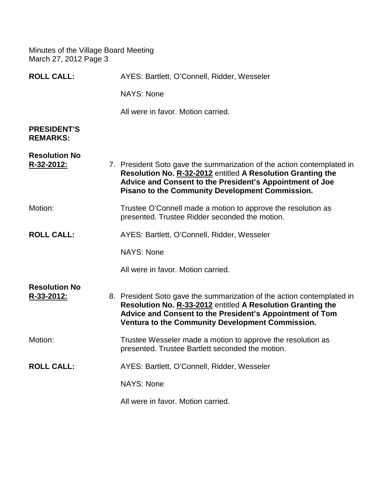| <b>ROLL CALL:</b>                     | AYES: Bartlett, O'Connell, Ridder, Wesseler                                                                                                                                                                                                                 |
|---------------------------------------|-------------------------------------------------------------------------------------------------------------------------------------------------------------------------------------------------------------------------------------------------------------|
|                                       | <b>NAYS: None</b>                                                                                                                                                                                                                                           |
|                                       | All were in favor. Motion carried.                                                                                                                                                                                                                          |
| <b>PRESIDENT'S</b><br><b>REMARKS:</b> |                                                                                                                                                                                                                                                             |
| <b>Resolution No</b><br>R-32-2012:    | 7. President Soto gave the summarization of the action contemplated in<br>Resolution No. R-32-2012 entitled A Resolution Granting the<br>Advice and Consent to the President's Appointment of Joe<br><b>Pisano to the Community Development Commission.</b> |
| Motion:                               | Trustee O'Connell made a motion to approve the resolution as<br>presented. Trustee Ridder seconded the motion.                                                                                                                                              |
| <b>ROLL CALL:</b>                     | AYES: Bartlett, O'Connell, Ridder, Wesseler                                                                                                                                                                                                                 |
|                                       | <b>NAYS: None</b>                                                                                                                                                                                                                                           |
|                                       | All were in favor. Motion carried.                                                                                                                                                                                                                          |
| <b>Resolution No</b><br>R-33-2012:    | 8. President Soto gave the summarization of the action contemplated in<br>Resolution No. R-33-2012 entitled A Resolution Granting the<br>Advice and Consent to the President's Appointment of Tom<br>Ventura to the Community Development Commission.       |
| Motion:                               | Trustee Wesseler made a motion to approve the resolution as<br>presented. Trustee Bartlett seconded the motion.                                                                                                                                             |
| <b>ROLL CALL:</b>                     | AYES: Bartlett, O'Connell, Ridder, Wesseler                                                                                                                                                                                                                 |
|                                       | <b>NAYS: None</b>                                                                                                                                                                                                                                           |
|                                       | All were in favor. Motion carried.                                                                                                                                                                                                                          |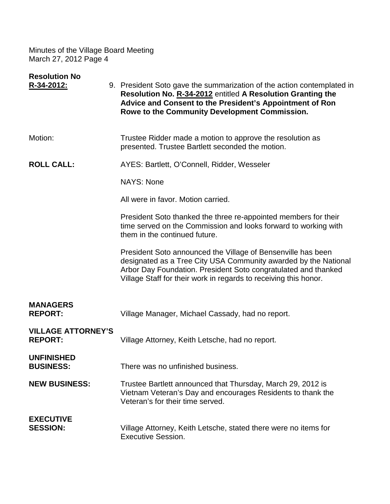| <b>Resolution No</b><br>R-34-2012:          | 9. President Soto gave the summarization of the action contemplated in<br>Resolution No. R-34-2012 entitled A Resolution Granting the<br>Advice and Consent to the President's Appointment of Ron<br>Rowe to the Community Development Commission.                    |
|---------------------------------------------|-----------------------------------------------------------------------------------------------------------------------------------------------------------------------------------------------------------------------------------------------------------------------|
|                                             |                                                                                                                                                                                                                                                                       |
| Motion:                                     | Trustee Ridder made a motion to approve the resolution as<br>presented. Trustee Bartlett seconded the motion.                                                                                                                                                         |
| <b>ROLL CALL:</b>                           | AYES: Bartlett, O'Connell, Ridder, Wesseler                                                                                                                                                                                                                           |
|                                             | <b>NAYS: None</b>                                                                                                                                                                                                                                                     |
|                                             | All were in favor. Motion carried.                                                                                                                                                                                                                                    |
|                                             | President Soto thanked the three re-appointed members for their<br>time served on the Commission and looks forward to working with<br>them in the continued future.                                                                                                   |
|                                             | President Soto announced the Village of Bensenville has been<br>designated as a Tree City USA Community awarded by the National<br>Arbor Day Foundation. President Soto congratulated and thanked<br>Village Staff for their work in regards to receiving this honor. |
| <b>MANAGERS</b><br><b>REPORT:</b>           | Village Manager, Michael Cassady, had no report.                                                                                                                                                                                                                      |
| <b>VILLAGE ATTORNEY'S</b><br><b>REPORT:</b> | Village Attorney, Keith Letsche, had no report.                                                                                                                                                                                                                       |
| UNFINISHED<br><b>BUSINESS:</b>              | There was no unfinished business.                                                                                                                                                                                                                                     |
| <b>NEW BUSINESS:</b>                        | Trustee Bartlett announced that Thursday, March 29, 2012 is<br>Vietnam Veteran's Day and encourages Residents to thank the<br>Veteran's for their time served.                                                                                                        |
| <b>EXECUTIVE</b><br><b>SESSION:</b>         | Village Attorney, Keith Letsche, stated there were no items for<br><b>Executive Session.</b>                                                                                                                                                                          |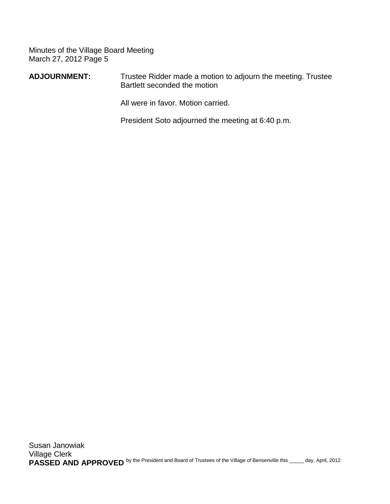**ADJOURNMENT:** Trustee Ridder made a motion to adjourn the meeting. Trustee Bartlett seconded the motion

All were in favor. Motion carried.

President Soto adjourned the meeting at 6:40 p.m.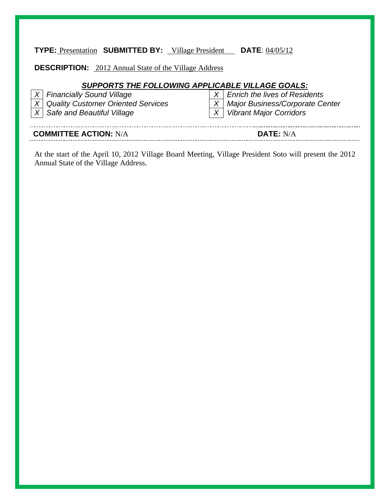# **TYPE:** Presentation **SUBMITTED BY:** Village President **DATE**: 04/05/12

**DESCRIPTION:** 2012 Annual State of the Village Address

# *SUPPORTS THE FOLLOWING APPLICABLE VILLAGE GOALS:*

| <b>COMMITTEE ACTION: N/A</b> |                                                                            |  | <b>DATE: N/A</b>                                                     |
|------------------------------|----------------------------------------------------------------------------|--|----------------------------------------------------------------------|
|                              | X   Quality Customer Oriented Services<br>$ X $ Safe and Beautiful Village |  | X   Major Business/Corporate Center<br>  X   Vibrant Major Corridors |
|                              | $ X $ Financially Sound Village                                            |  | $X \mid$ Enrich the lives of Residents                               |

At the start of the April 10, 2012 Village Board Meeting, Village President Soto will present the 2012 Annual State of the Village Address.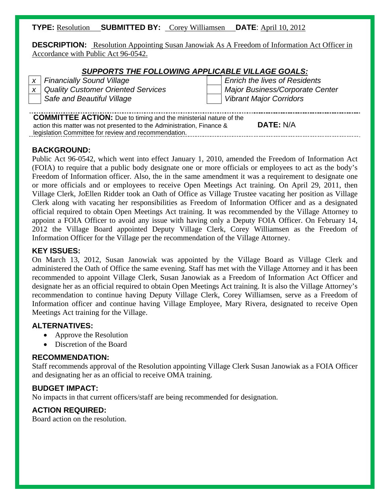## **TYPE:** Resolution **SUBMITTED BY:** Corey Williamsen **DATE**: April 10, 2012

**DESCRIPTION:** Resolution Appointing Susan Janowiak As A Freedom of Information Act Officer in Accordance with Public Act 96-0542.

### *SUPPORTS THE FOLLOWING APPLICABLE VILLAGE GOALS:*

|                                                                          | x   Financially Sound Village          |  | <b>Enrich the lives of Residents</b>   |  |  |
|--------------------------------------------------------------------------|----------------------------------------|--|----------------------------------------|--|--|
|                                                                          | $x$ Quality Customer Oriented Services |  | <b>Major Business/Corporate Center</b> |  |  |
|                                                                          | Safe and Beautiful Village             |  | <b>Vibrant Major Corridors</b>         |  |  |
|                                                                          |                                        |  |                                        |  |  |
| <b>COMMITTEE ACTION:</b> Due to timing and the ministerial nature of the |                                        |  |                                        |  |  |

action this matter was not presented to the Administration, Finance & legislation Committee for review and recommendation. **DATE:** N/A

## **BACKGROUND:**

Public Act 96-0542, which went into effect January 1, 2010, amended the Freedom of Information Act (FOIA) to require that a public body designate one or more officials or employees to act as the body's Freedom of Information officer. Also, the in the same amendment it was a requirement to designate one or more officials and or employees to receive Open Meetings Act training. On April 29, 2011, then Village Clerk, JoEllen Ridder took an Oath of Office as Village Trustee vacating her position as Village Clerk along with vacating her responsibilities as Freedom of Information Officer and as a designated official required to obtain Open Meetings Act training. It was recommended by the Village Attorney to appoint a FOIA Officer to avoid any issue with having only a Deputy FOIA Officer. On February 14, 2012 the Village Board appointed Deputy Village Clerk, Corey Williamsen as the Freedom of Information Officer for the Village per the recommendation of the Village Attorney.

### **KEY ISSUES:**

On March 13, 2012, Susan Janowiak was appointed by the Village Board as Village Clerk and administered the Oath of Office the same evening. Staff has met with the Village Attorney and it has been recommended to appoint Village Clerk, Susan Janowiak as a Freedom of Information Act Officer and designate her as an official required to obtain Open Meetings Act training. It is also the Village Attorney's recommendation to continue having Deputy Village Clerk, Corey Williamsen, serve as a Freedom of Information officer and continue having Village Employee, Mary Rivera, designated to receive Open Meetings Act training for the Village.

## **ALTERNATIVES:**

- Approve the Resolution
- Discretion of the Board

## **RECOMMENDATION:**

Staff recommends approval of the Resolution appointing Village Clerk Susan Janowiak as a FOIA Officer and designating her as an official to receive OMA training.

## **BUDGET IMPACT:**

No impacts in that current officers/staff are being recommended for designation.

## **ACTION REQUIRED:**

Board action on the resolution.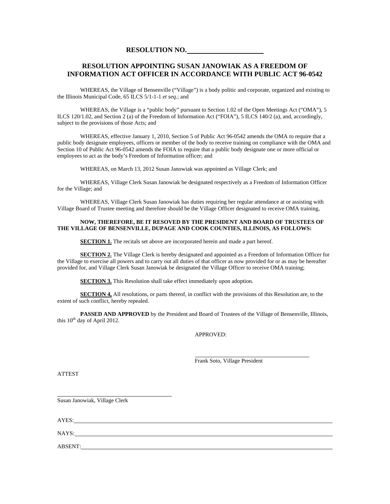## **RESOLUTION NO.**

#### **RESOLUTION APPOINTING SUSAN JANOWIAK AS A FREEDOM OF INFORMATION ACT OFFICER IN ACCORDANCE WITH PUBLIC ACT 96-0542**

WHEREAS, the Village of Bensenville ("Village") is a body politic and corporate, organized and existing to the Illinois Municipal Code, 65 ILCS 5/1-1-1 *et seq*.; and

 WHEREAS, the Village is a "public body" pursuant to Section 1.02 of the Open Meetings Act ("OMA"), 5 ILCS 120/1.02, and Section 2 (a) of the Freedom of Information Act ("FOIA"), 5 ILCS 140/2 (a), and, accordingly, subject to the provisions of those Acts; and

 WHEREAS, effective January 1, 2010, Section 5 of Public Act 96-0542 amends the OMA to require that a public body designate employees, officers or member of the body to receive training on compliance with the OMA and Section 10 of Public Act 96-0542 amends the FOIA to require that a public body designate one or more official or employees to act as the body's Freedom of Information officer; and

WHEREAS, on March 13, 2012 Susan Janowiak was appointed as Village Clerk; and

 WHEREAS, Village Clerk Susan Janowiak be designated respectively as a Freedom of Information Officer for the Village; and

 WHEREAS, Village Clerk Susan Janowiak has duties requiring her regular attendance at or assisting with Village Board of Trustee meeting and therefore should be the Village Officer designated to receive OMA training,

#### **NOW, THEREFORE, BE IT RESOVED BY THE PRESIDENT AND BOARD OF TRUSTEES OF THE VILLAGE OF BENSENVILLE, DUPAGE AND COOK COUNTIES, ILLINOIS, AS FOLLOWS:**

**SECTION 1.** The recitals set above are incorporated herein and made a part hereof.

**SECTION 2.** The Village Clerk is hereby designated and appointed as a Freedom of Information Officer for the Village to exercise all powers and to carry out all duties of that officer as now provided for or as may be hereafter provided for, and Village Clerk Susan Janowiak be designated the Village Officer to receive OMA training;

**SECTION 3.** This Resolution shall take effect immediately upon adoption.

**SECTION 4,** All resolutions, or parts thereof, in conflict with the provisions of this Resolution are, to the extent of such conflict, hereby repealed.

**PASSED AND APPROVED** by the President and Board of Trustees of the Village of Bensenville, Illinois, this 10<sup>th</sup> day of April 2012.

APPROVED:

Frank Soto, Village President

ATTEST

Susan Janowiak, Village Clerk

AYES:

֦

NAYS:

ABSENT: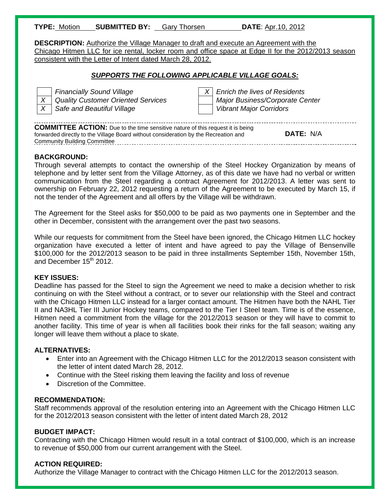| <b>TYPE: Motion</b> | <b>SUBMITTED BY: Gary Thorsen</b> | <b>DATE: Apr.10, 2012</b> |
|---------------------|-----------------------------------|---------------------------|
|---------------------|-----------------------------------|---------------------------|

**DESCRIPTION:** Authorize the Village Manager to draft and execute an Agreement with the Chicago Hitmen LLC for ice rental, locker room and office space at Edge II for the 2012/2013 season consistent with the Letter of Intent dated March 28, 2012.

### *SUPPORTS THE FOLLOWING APPLICABLE VILLAGE GOALS:*



*Financially Sound Village* X  $\vert X \vert$  *Enrich the lives of Residents X* | Quality Customer Oriented Services | | Major Business/Corporate Center *X* Safe and Beautiful Village *View Major Corridors* **Vibrant Major Corridors Vibrant Major Corridors** 

**COMMITTEE ACTION:** Due to the time sensitive nature of this request it is being forwarded directly to the Village Board without consideration by the Recreation and Community Building Committee **DATE:** N/A

### **BACKGROUND:**

Through several attempts to contact the ownership of the Steel Hockey Organization by means of telephone and by letter sent from the Village Attorney, as of this date we have had no verbal or written communication from the Steel regarding a contract Agreement for 2012/2013. A letter was sent to ownership on February 22, 2012 requesting a return of the Agreement to be executed by March 15, if not the tender of the Agreement and all offers by the Village will be withdrawn.

The Agreement for the Steel asks for \$50,000 to be paid as two payments one in September and the other in December, consistent with the arrangement over the past two seasons.

While our requests for commitment from the Steel have been ignored, the Chicago Hitmen LLC hockey organization have executed a letter of intent and have agreed to pay the Village of Bensenville \$100,000 for the 2012/2013 season to be paid in three installments September 15th, November 15th, and December  $15<sup>th</sup>$  2012.

#### **KEY ISSUES:**

Deadline has passed for the Steel to sign the Agreement we need to make a decision whether to risk continuing on with the Steel without a contract, or to sever our relationship with the Steel and contract with the Chicago Hitmen LLC instead for a larger contact amount. The Hitmen have both the NAHL Tier II and NA3HL Tier III Junior Hockey teams, compared to the Tier I Steel team. Time is of the essence, Hitmen need a commitment from the village for the 2012/2013 season or they will have to commit to another facility. This time of year is when all facilities book their rinks for the fall season; waiting any longer will leave them without a place to skate.

#### **ALTERNATIVES:**

- Enter into an Agreement with the Chicago Hitmen LLC for the 2012/2013 season consistent with the letter of intent dated March 28, 2012.
- Continue with the Steel risking them leaving the facility and loss of revenue
- Discretion of the Committee.

#### **RECOMMENDATION:**

Staff recommends approval of the resolution entering into an Agreement with the Chicago Hitmen LLC for the 2012/2013 season consistent with the letter of intent dated March 28, 2012

#### **BUDGET IMPACT:**

Contracting with the Chicago Hitmen would result in a total contract of \$100,000, which is an increase to revenue of \$50,000 from our current arrangement with the Steel.

#### **ACTION REQUIRED:**

Authorize the Village Manager to contract with the Chicago Hitmen LLC for the 2012/2013 season.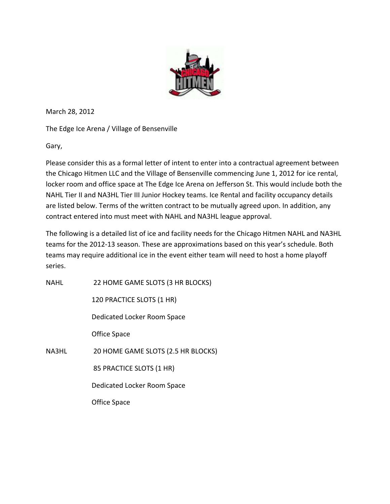

March 28, 2012

The Edge Ice Arena / Village of Bensenville

Gary,

Please consider this as a formal letter of intent to enter into a contractual agreement between the Chicago Hitmen LLC and the Village of Bensenville commencing June 1, 2012 for ice rental, locker room and office space at The Edge Ice Arena on Jefferson St. This would include both the NAHL Tier II and NA3HL Tier III Junior Hockey teams. Ice Rental and facility occupancy details are listed below. Terms of the written contract to be mutually agreed upon. In addition, any contract entered into must meet with NAHL and NA3HL league approval.

The following is a detailed list of ice and facility needs for the Chicago Hitmen NAHL and NA3HL teams for the 2012‐13 season. These are approximations based on this year's schedule. Both teams may require additional ice in the event either team will need to host a home playoff series.

NAHL 22 HOME GAME SLOTS (3 HR BLOCKS)

120 PRACTICE SLOTS (1 HR)

Dedicated Locker Room Space

Office Space

NA3HL 20 HOME GAME SLOTS (2.5 HR BLOCKS)

85 PRACTICE SLOTS (1 HR)

Dedicated Locker Room Space

Office Space